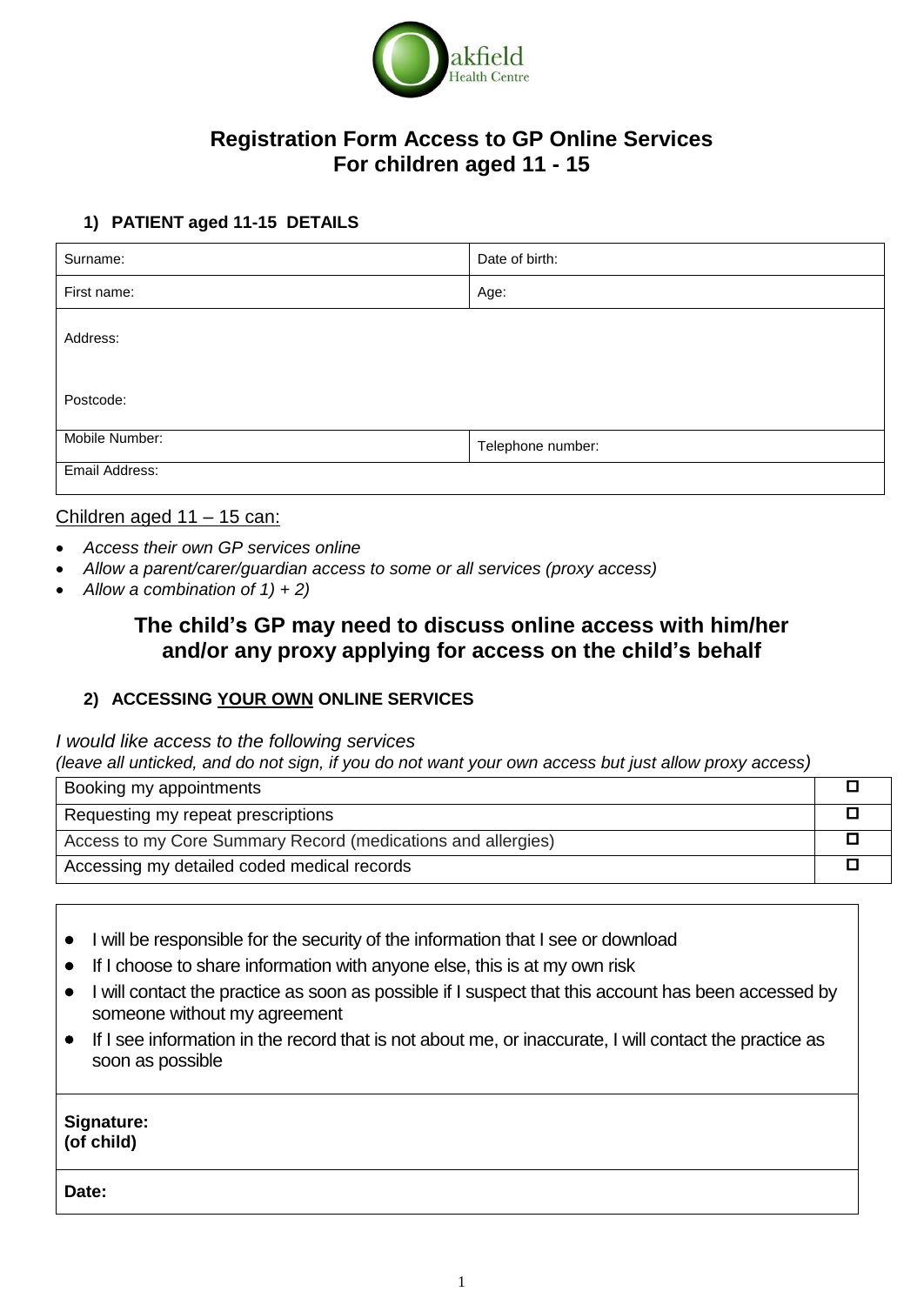

## **Registration Form Access to GP Online Services For children aged 11 - 15**

### **1) PATIENT aged 11-15 DETAILS**

| Surname:       | Date of birth:    |
|----------------|-------------------|
| First name:    | Age:              |
| Address:       |                   |
| Postcode:      |                   |
| Mobile Number: | Telephone number: |
| Email Address: |                   |

#### Children aged 11 – 15 can:

- *Access their own GP services online*
- *Allow a parent/carer/guardian access to some or all services (proxy access)*
- *Allow a combination of 1) + 2)*

# **The child's GP may need to discuss online access with him/her and/or any proxy applying for access on the child's behalf**

#### **2) ACCESSING YOUR OWN ONLINE SERVICES**

*I would like access to the following services*

(leave all unticked, and do not sign, if you do not want your own access but just allow proxy access)

| Booking my appointments                                      |  |
|--------------------------------------------------------------|--|
| Requesting my repeat prescriptions                           |  |
| Access to my Core Summary Record (medications and allergies) |  |
| Accessing my detailed coded medical records                  |  |

- I will be responsible for the security of the information that I see or download
- If I choose to share information with anyone else, this is at my own risk
- I will contact the practice as soon as possible if I suspect that this account has been accessed by someone without my agreement
- If I see information in the record that is not about me, or inaccurate, I will contact the practice as soon as possible

**Signature: (of child)**

**Date:**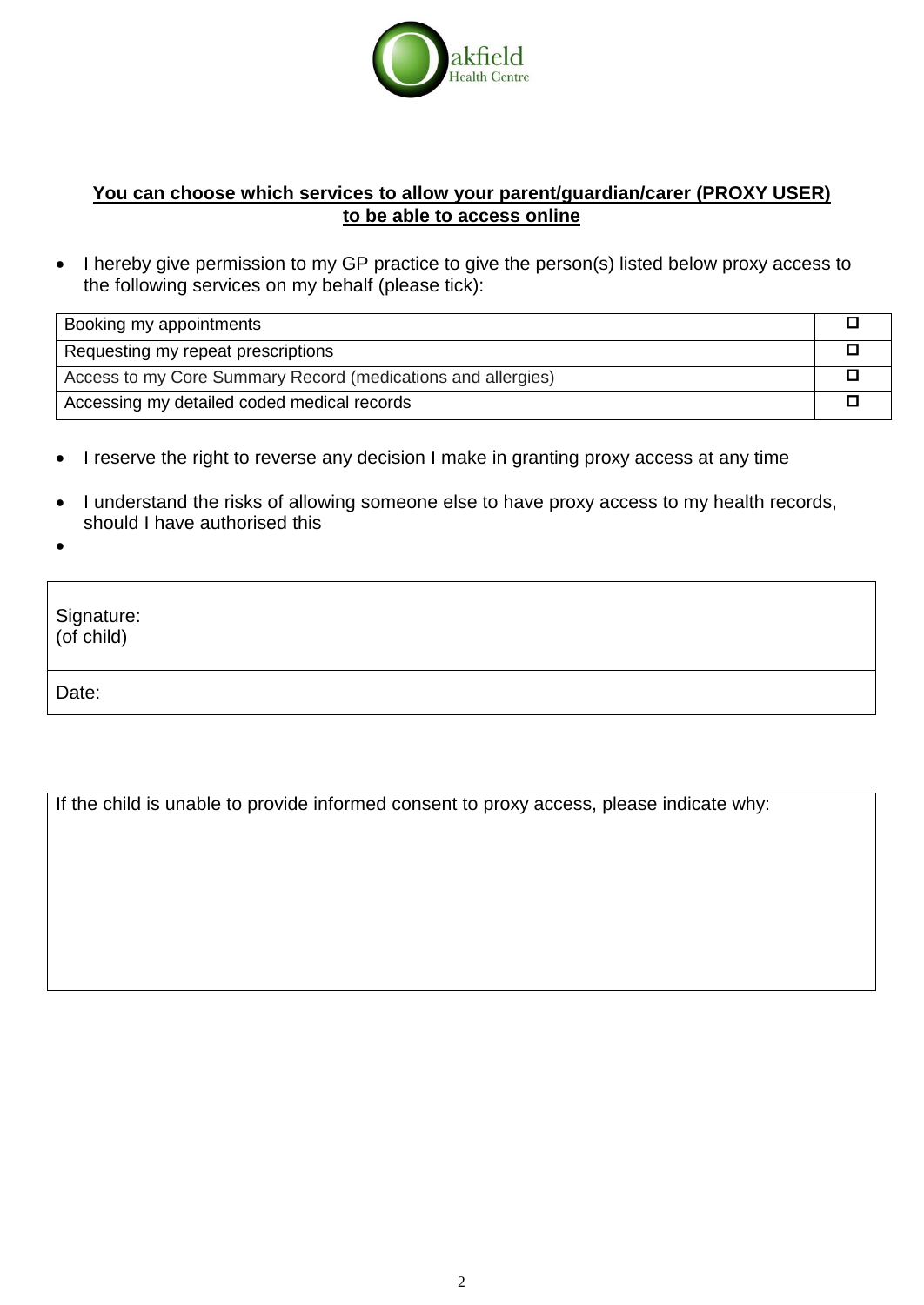

## **You can choose which services to allow your parent/guardian/carer (PROXY USER) to be able to access online**

• I hereby give permission to my GP practice to give the person(s) listed below proxy access to the following services on my behalf (please tick):

| Booking my appointments                                      |  |
|--------------------------------------------------------------|--|
| Requesting my repeat prescriptions                           |  |
| Access to my Core Summary Record (medications and allergies) |  |
| Accessing my detailed coded medical records                  |  |

- I reserve the right to reverse any decision I make in granting proxy access at any time
- I understand the risks of allowing someone else to have proxy access to my health records, should I have authorised this
- $\bullet$

Signature: (of child) Date:

If the child is unable to provide informed consent to proxy access, please indicate why: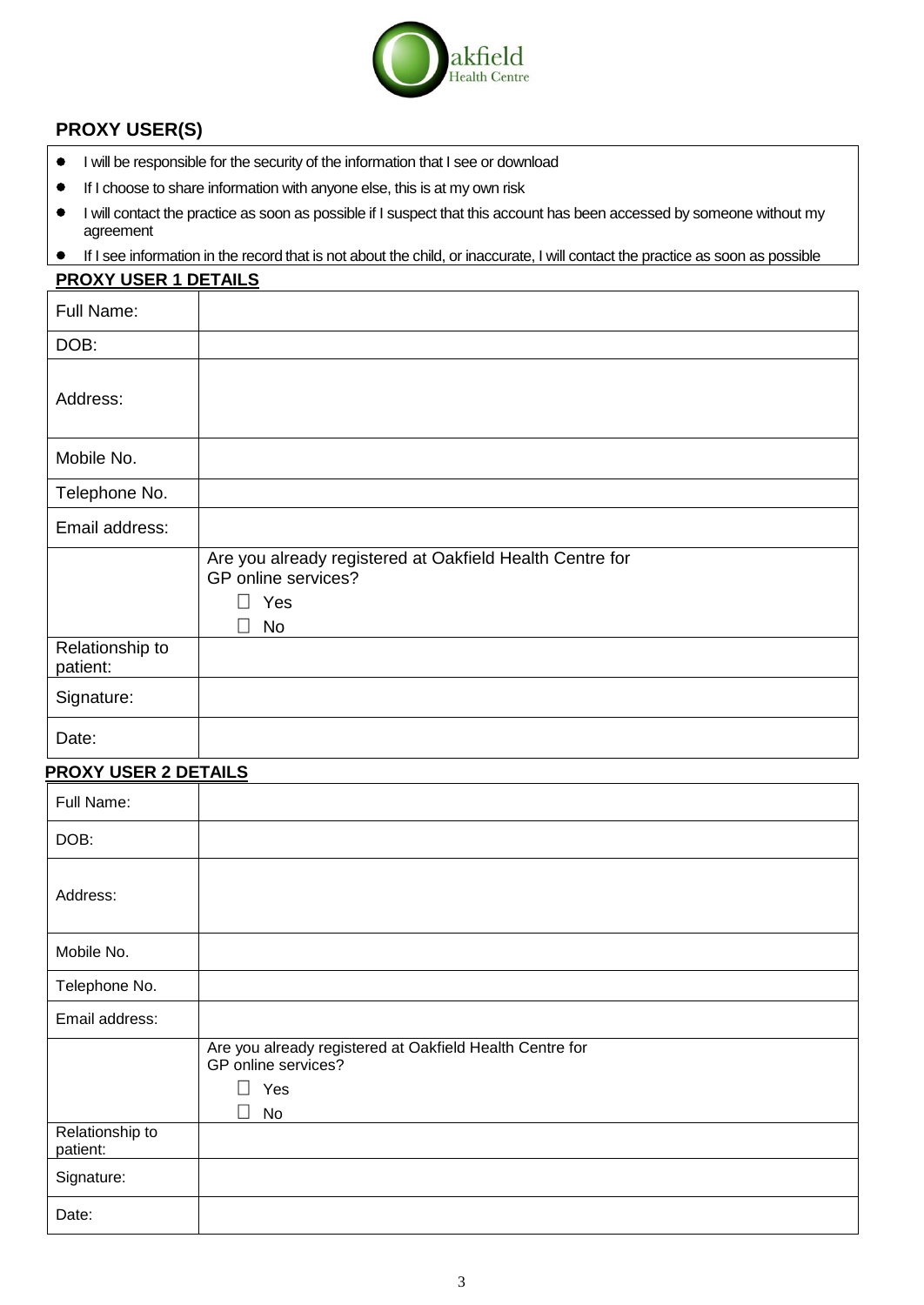

## **PROXY USER(S)**

- I will be responsible for the security of the information that I see or download
- If I choose to share information with anyone else, this is at my own risk
- $\bullet$  I will contact the practice as soon as possible if I suspect that this account has been accessed by someone without my agreement
- If I see information in the record that is not about the child, or inaccurate, I will contact the practice as soon as possible

| <b>PROXY USER 1 DETAILS</b> |                                                                                                                         |
|-----------------------------|-------------------------------------------------------------------------------------------------------------------------|
| Full Name:                  |                                                                                                                         |
| DOB:                        |                                                                                                                         |
| Address:                    |                                                                                                                         |
| Mobile No.                  |                                                                                                                         |
| Telephone No.               |                                                                                                                         |
| Email address:              |                                                                                                                         |
|                             | Are you already registered at Oakfield Health Centre for<br>GP online services?<br>$\Box$<br>Yes<br>$\Box$<br><b>No</b> |
| Relationship to<br>patient: |                                                                                                                         |
| Signature:                  |                                                                                                                         |
| Date:                       |                                                                                                                         |

#### **PROXY USER 2 DETAILS**

| Full Name:                  |                                                                                                                                           |
|-----------------------------|-------------------------------------------------------------------------------------------------------------------------------------------|
| DOB:                        |                                                                                                                                           |
| Address:                    |                                                                                                                                           |
| Mobile No.                  |                                                                                                                                           |
| Telephone No.               |                                                                                                                                           |
| Email address:              |                                                                                                                                           |
|                             | Are you already registered at Oakfield Health Centre for<br>GP online services?<br>$\overline{\phantom{a}}$<br>Yes<br>No<br>$\mathcal{L}$ |
| Relationship to<br>patient: |                                                                                                                                           |
| Signature:                  |                                                                                                                                           |
| Date:                       |                                                                                                                                           |